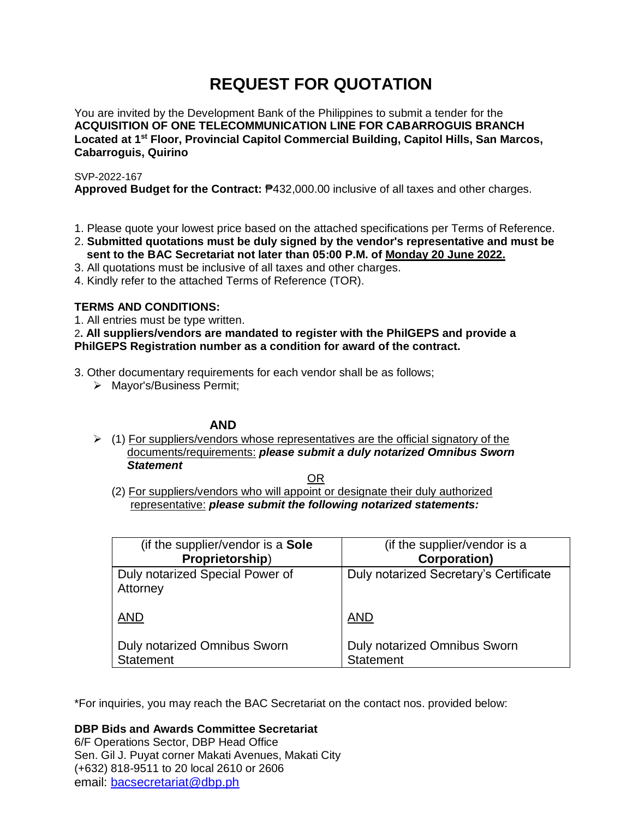# **REQUEST FOR QUOTATION**

You are invited by the Development Bank of the Philippines to submit a tender for the **ACQUISITION OF ONE TELECOMMUNICATION LINE FOR CABARROGUIS BRANCH Located at 1 st Floor, Provincial Capitol Commercial Building, Capitol Hills, San Marcos, Cabarroguis, Quirino**

SVP-2022-167

**Approved Budget for the Contract:** ₱432,000.00 inclusive of all taxes and other charges.

- 1. Please quote your lowest price based on the attached specifications per Terms of Reference.
- 2. **Submitted quotations must be duly signed by the vendor's representative and must be sent to the BAC Secretariat not later than 05:00 P.M. of Monday 20 June 2022.**
- 3. All quotations must be inclusive of all taxes and other charges.
- 4. Kindly refer to the attached Terms of Reference (TOR).

## **TERMS AND CONDITIONS:**

1. All entries must be type written.

2**. All suppliers/vendors are mandated to register with the PhilGEPS and provide a PhilGEPS Registration number as a condition for award of the contract.**

3. Other documentary requirements for each vendor shall be as follows;

> Mayor's/Business Permit;

# **AND**

 $\geq$  (1) For suppliers/vendors whose representatives are the official signatory of the documents/requirements: *please submit a duly notarized Omnibus Sworn Statement*

<u>OR Starting and the Starting OR Starting</u>

(2) For suppliers/vendors who will appoint or designate their duly authorized representative: *please submit the following notarized statements:*

| (if the supplier/vendor is a Sole           | (if the supplier/vendor is a           |
|---------------------------------------------|----------------------------------------|
| Proprietorship)                             | <b>Corporation)</b>                    |
| Duly notarized Special Power of<br>Attorney | Duly notarized Secretary's Certificate |
| <b>AND</b>                                  | <b>AND</b>                             |
| Duly notarized Omnibus Sworn                | Duly notarized Omnibus Sworn           |
| Statement                                   | <b>Statement</b>                       |

\*For inquiries, you may reach the BAC Secretariat on the contact nos. provided below:

**DBP Bids and Awards Committee Secretariat** 

6/F Operations Sector, DBP Head Office Sen. Gil J. Puyat corner Makati Avenues, Makati City (+632) 818-9511 to 20 local 2610 or 2606 email: [bacsecretariat@dbp.ph](mailto:bacsecretariat@dbp.ph)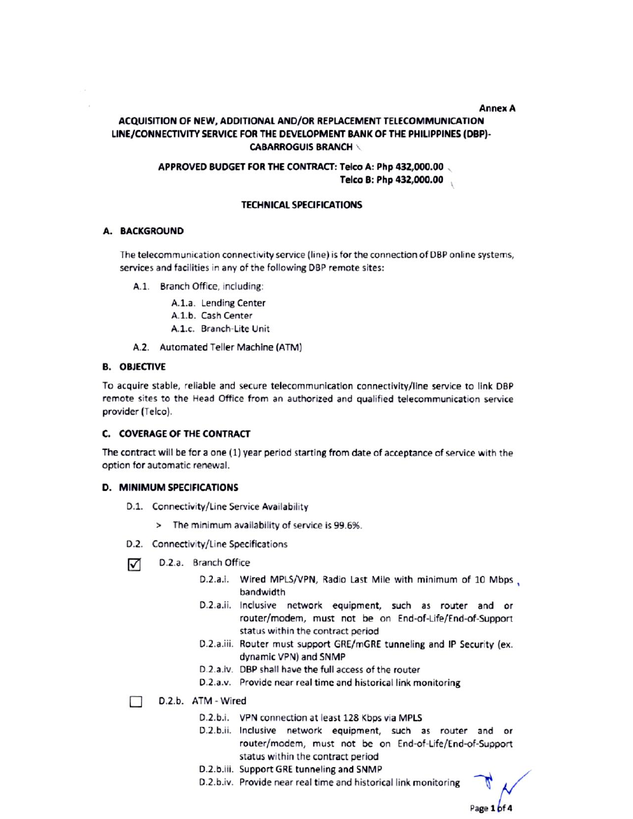#### **Annex A**

## ACQUISITION OF NEW, ADDITIONAL AND/OR REPLACEMENT TELECOMMUNICATION LINE/CONNECTIVITY SERVICE FOR THE DEVELOPMENT BANK OF THE PHILIPPINES (DBP)-**CABARROGUIS BRANCH \**

## APPROVED BUDGET FOR THE CONTRACT: Telco A: Php 432,000.00 Telco B: Php 432,000.00

#### **TECHNICAL SPECIFICATIONS**

#### **A. BACKGROUND**

The telecommunication connectivity service (line) is for the connection of DBP online systems, services and facilities in any of the following DBP remote sites:

- A.1. Branch Office, including:
	- A.1.a. Lending Center
	- A.1.b. Cash Center
	- A.1.c. Branch-Lite Unit
- A.2. Automated Teller Machine (ATM)

#### **B. OBJECTIVE**

To acquire stable, reliable and secure telecommunication connectivity/line service to link DBP remote sites to the Head Office from an authorized and qualified telecommunication service provider (Telco).

## C. COVERAGE OF THE CONTRACT

The contract will be for a one (1) year period starting from date of acceptance of service with the option for automatic renewal.

#### **D. MINIMUM SPECIFICATIONS**

- D.1. Connectivity/Line Service Availability
	- > The minimum availability of service is 99.6%.
- D.2. Connectivity/Line Specifications
- D.2.a. Branch Office ☑
	- D.2.a.i. Wired MPLS/VPN, Radio Last Mile with minimum of 10 Mbps, bandwidth
	- D.2.a.ii. Inclusive network equipment, such as router and or router/modem, must not be on End-of-Life/End-of-Support status within the contract period
	- D.2.a.iii. Router must support GRE/mGRE tunneling and IP Security (ex. dynamic VPN) and SNMP
	- D.2.a.iv. DBP shall have the full access of the router
	- D.2.a.v. Provide near real time and historical link monitoring
- D.2.b. ATM Wired П
	- D.2.b.i. VPN connection at least 128 Kbps via MPLS
	- D.2.b.ii. Inclusive network equipment, such as router and or router/modem, must not be on End-of-Life/End-of-Support status within the contract period
	- D.2.b.iii. Support GRE tunneling and SNMP
	- D.2.b.iv. Provide near real time and historical link monitoring

Page 1 of 4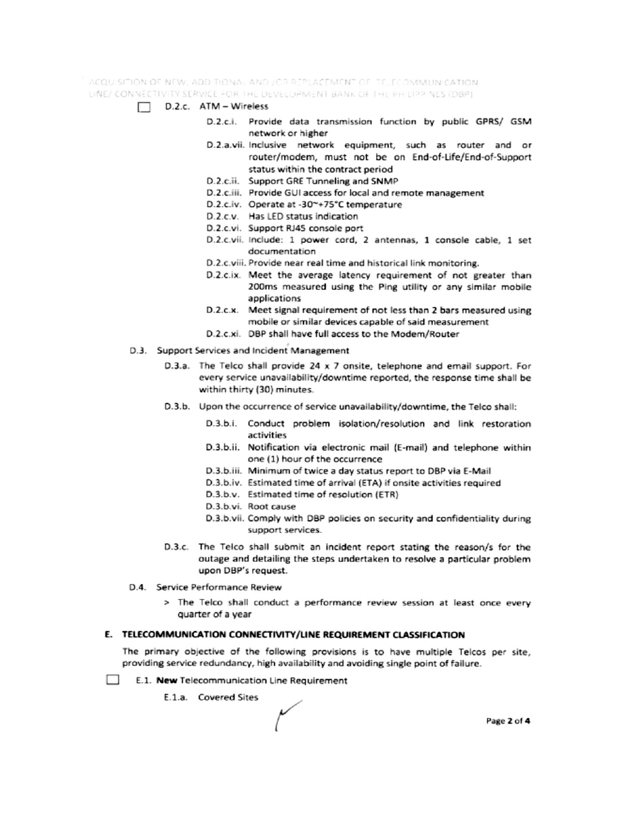ACQUISITION OF NEW, ADDITIONAL AND JOR REPLACEMENT OF TELECOMMUNICATION. LINE/ CONNECTIVITY SERVICE FOR THE DEVELOPMENT BANK OF THE PHILIPPINES (DBP)

- $\Box$  D.2.c. ATM Wireless
	- D.2.c.i. Provide data transmission function by public GPRS/ GSM network or higher
	- D.2.a.vii. Inclusive network equipment, such as router and or router/modem, must not be on End-of-Life/End-of-Support status within the contract period
	- D.2.c.ii. Support GRE Tunneling and SNMP
	- D.2.c.iii. Provide GUI access for local and remote management
	- D.2.c.iv. Operate at -30~+75°C temperature
	- D.2.c.v. Has LED status indication
	- D.2.c.vi. Support RJ45 console port
	- D.2.c.vii. Include: 1 power cord, 2 antennas, 1 console cable, 1 set documentation
	- D.2.c.viii. Provide near real time and historical link monitoring.
	- D.2.c.ix. Meet the average latency requirement of not greater than 200ms measured using the Ping utility or any similar mobile applications
	- D.2.c.x. Meet signal requirement of not less than 2 bars measured using mobile or similar devices capable of said measurement
	- D.2.c.xi. DBP shall have full access to the Modem/Router
- D.3. Support Services and Incident Management
	- D.3.a. The Telco shall provide 24 x 7 onsite, telephone and email support. For every service unavailability/downtime reported, the response time shall be within thirty (30) minutes.
	- D.3.b. Upon the occurrence of service unavailability/downtime, the Telco shall:
		- D.3.b.i. Conduct problem isolation/resolution and link restoration activities
		- D.3.b.ii. Notification via electronic mail (E-mail) and telephone within one (1) hour of the occurrence
		- D.3.b.iii. Minimum of twice a day status report to DBP via E-Mail
		- D.3.b.iv. Estimated time of arrival (ETA) if onsite activities required
		- D.3.b.v. Estimated time of resolution (ETR)
		- D.3.b.vi. Root cause
		- D.3.b.vii. Comply with DBP policies on security and confidentiality during support services.
	- D.3.c. The Telco shall submit an incident report stating the reason/s for the outage and detailing the steps undertaken to resolve a particular problem upon DBP's request.
- D.4. Service Performance Review
	- > The Telco shall conduct a performance review session at least once every quarter of a year

#### E. TELECOMMUNICATION CONNECTIVITY/LINE REQUIREMENT CLASSIFICATION

The primary objective of the following provisions is to have multiple Telcos per site, providing service redundancy, high availability and avoiding single point of failure.

- **College** E.1. New Telecommunication Line Requirement
	- E.1.a. Covered Sites

Page 2 of 4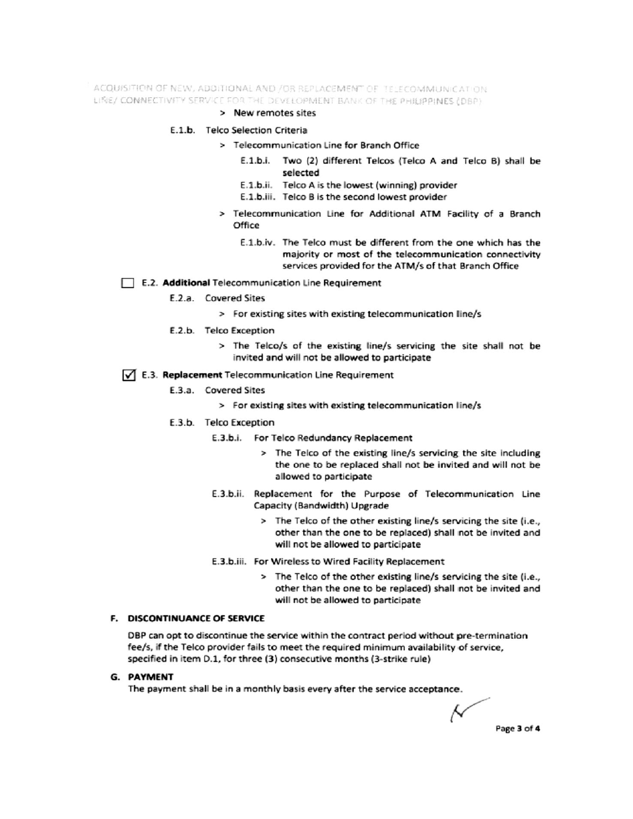ACQUISITION OF NEW, ADDITIONAL AND /OR REPLACEMENT OF TELECOMMUNICATION LINE/ CONNECTIVITY SERVICE FOR THE DEVELOPMENT BANK OF THE PHILIPPINES (DBP)

#### > New remotes sites

#### E.1.b. Telco Selection Criteria

- > Telecommunication Line for Branch Office
	- E.1.b.i. Two (2) different Telcos (Telco A and Telco B) shall be selected
	- E.1.b.ii. Telco A is the lowest (winning) provider
	- E.1.b.iii. Telco B is the second lowest provider
- > Telecommunication Line for Additional ATM Facility of a Branch Office
	- E.1.b.iv. The Telco must be different from the one which has the majority or most of the telecommunication connectivity services provided for the ATM/s of that Branch Office

#### E.2. Additional Telecommunication Line Requirement

- E.2.a. Covered Sites
	- > For existing sites with existing telecommunication line/s
- E.2.b. Telco Exception
	- > The Telco/s of the existing line/s servicing the site shall not be invited and will not be allowed to participate

#### √ E.3. Replacement Telecommunication Line Requirement

- E.3.a. Covered Sites
	- > For existing sites with existing telecommunication line/s
- E.3.b. Telco Exception
	- E.3.b.i. For Telco Redundancy Replacement
		- > The Telco of the existing line/s servicing the site including the one to be replaced shall not be invited and will not be allowed to participate
	- E.3.b.ii. Replacement for the Purpose of Telecommunication Line Capacity (Bandwidth) Upgrade
		- > The Telco of the other existing line/s servicing the site (i.e., other than the one to be replaced) shall not be invited and will not be allowed to participate
	- E.3.b.iii. For Wireless to Wired Facility Replacement
		- > The Telco of the other existing line/s servicing the site (i.e., other than the one to be replaced) shall not be invited and will not be allowed to participate

## F. DISCONTINUANCE OF SERVICE

DBP can opt to discontinue the service within the contract period without pre-termination fee/s, if the Telco provider fails to meet the required minimum availability of service, specified in item D.1, for three (3) consecutive months (3-strike rule)

#### **G. PAYMENT**

The payment shall be in a monthly basis every after the service acceptance.

Ν Page 3 of 4